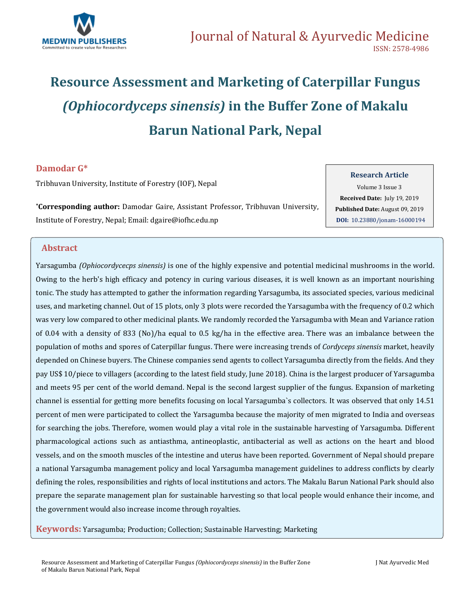

# **Resource Assessment and Marketing of Caterpillar Fungus**  *(Ophiocordyceps sinensis)* **in the Buffer Zone of Makalu Barun National Park, Nepal**

# **Damodar G\***

Tribhuvan University, Institute of Forestry (IOF), Nepal

**\*Corresponding author:** Damodar Gaire, Assistant Professor, Tribhuvan University, Institute of Forestry, Nepal; Email: [dgaire@iofhc.edu.np](mailto:dgaire@iofhc.edu.np)

Volume 3 Issue 3 **Received Date:** July 19, 2019

**Research Article**

**Published Date:** August 09, 2019 **DOI:** [10.23880/jonam-16000194](https://doi.org/10.23880/jonam-16000194)

### **Abstract**

Yarsagumba *(Ophiocordycecps sinensis)* is one of the highly expensive and potential medicinal mushrooms in the world. Owing to the herb's high efficacy and potency in curing various diseases, it is well known as an important nourishing tonic. The study has attempted to gather the information regarding Yarsagumba, its associated species, various medicinal uses, and marketing channel. Out of 15 plots, only 3 plots were recorded the Yarsagumba with the frequency of 0.2 which was very low compared to other medicinal plants. We randomly recorded the Yarsagumba with Mean and Variance ration of 0.04 with a density of 833 (No)/ha equal to 0.5 kg/ha in the effective area. There was an imbalance between the population of moths and spores of Caterpillar fungus. There were increasing trends of *Cordyceps sinensis* market, heavily depended on Chinese buyers. The Chinese companies send agents to collect Yarsagumba directly from the fields. And they pay US\$ 10/piece to villagers (according to the latest field study, June 2018). China is the largest producer of Yarsagumba and meets 95 per cent of the world demand. Nepal is the second largest supplier of the fungus. Expansion of marketing channel is essential for getting more benefits focusing on local Yarsagumba`s collectors. It was observed that only 14.51 percent of men were participated to collect the Yarsagumba because the majority of men migrated to India and overseas for searching the jobs. Therefore, women would play a vital role in the sustainable harvesting of Yarsagumba. Different pharmacological actions such as antiasthma, antineoplastic, antibacterial as well as actions on the heart and blood vessels, and on the smooth muscles of the intestine and uterus have been reported. Government of Nepal should prepare a national Yarsagumba management policy and local Yarsagumba management guidelines to address conflicts by clearly defining the roles, responsibilities and rights of local institutions and actors. The Makalu Barun National Park should also prepare the separate management plan for sustainable harvesting so that local people would enhance their income, and the government would also increase income through royalties.

**Keywords:** Yarsagumba; Production; Collection; Sustainable Harvesting; Marketing

Resource Assessment and Marketing of Caterpillar Fungus *(Ophiocordyceps sinensis)* in the Buffer Zone of Makalu Barun National Park, Nepal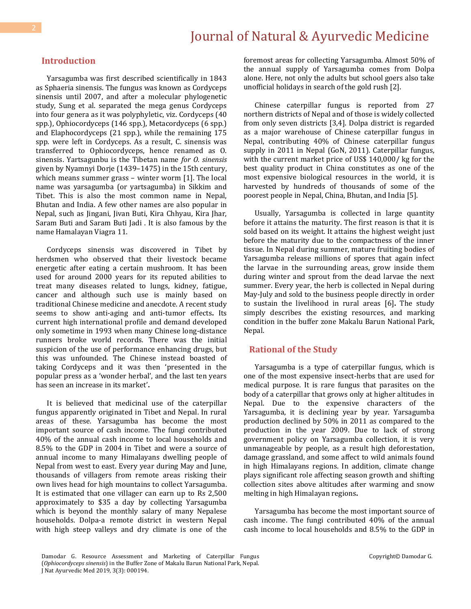### **Introduction**

Yarsagumba was first described scientifically in 1843 as Sphaeria sinensis. The fungus was known as Cordyceps sinensis until 2007, and after a molecular phylogenetic study, Sung et al. separated the mega genus Cordyceps into four genera as it was polyphyletic, viz. Cordyceps (40 spp.), Ophiocordyceps (146 spp.), Metacordyceps (6 spp.) and Elaphocordyceps (21 spp.), while the remaining 175 spp. were left in Cordyceps. As a result, C. sinensis was transferred to Ophiocordyceps, hence renamed as O. sinensis. Yartsagunbu is the Tibetan name *for O. sinensis* given by Nyamnyi Dorje (1439–1475) in the 15th century, which means summer grass – winter worm [1]. The local name was yarsagumba (or yartsagumba) in Sikkim and Tibet. This is also the most common name in Nepal, Bhutan and India. A few other names are also popular in Nepal, such as Jingani, Jivan Buti, Kira Chhyau, Kira Jhar, Saram Buti and Saram Buti Jadi . It is also famous by the name Hamalayan Viagra 11.

Cordyceps sinensis was discovered in Tibet by herdsmen who observed that their livestock became energetic after eating a certain mushroom. It has been used for around 2000 years for its reputed abilities to treat many diseases related to lungs, kidney, fatigue, cancer and although such use is mainly based on traditional Chinese medicine and anecdote. A recent study seems to show anti-aging and anti-tumor effects**.** Its current high international profile and demand developed only sometime in 1993 when many Chinese long-distance runners broke world records. There was the initial suspicion of the use of performance enhancing drugs, but this was unfounded. The Chinese instead boasted of taking Cordyceps and it was then 'presented in the popular press as a 'wonder herbal', and the last ten years has seen an increase in its market'**.**

It is believed that medicinal use of the caterpillar fungus apparently originated in Tibet and Nepal. In rural areas of these. Yarsagumba has become the most important source of cash income. The fungi contributed 40% of the annual cash income to local households and 8.5% to the GDP in 2004 in Tibet and were a source of annual income to many Himalayans dwelling people of Nepal from west to east. Every year during May and June, thousands of villagers from remote areas risking their own lives head for high mountains to collect Yarsagumba. It is estimated that one villager can earn up to Rs 2,500 approximately to \$35 a day by collecting Yarsagumba which is beyond the monthly salary of many Nepalese households. Dolpa-a remote district in western Nepal with high steep valleys and dry climate is one of the

foremost areas for collecting Yarsagumba. Almost 50% of the annual supply of Yarsagumba comes from Dolpa alone. Here, not only the adults but school goers also take unofficial holidays in search of the gold rush [2].

Chinese caterpillar fungus is reported from 27 northern districts of Nepal and of those is widely collected from only seven districts [3,4]. Dolpa district is regarded as a major warehouse of Chinese caterpillar fungus in Nepal, contributing 40% of Chinese caterpillar fungus supply in 2011 in Nepal (GoN, 2011). Caterpillar fungus, with the current market price of US\$ 140,000/ kg for the best quality product in China constitutes as one of the most expensive biological resources in the world, it is harvested by hundreds of thousands of some of the poorest people in Nepal, China, Bhutan, and India [5].

Usually, Yarsagumba is collected in large quantity before it attains the maturity. The first reason is that it is sold based on its weight. It attains the highest weight just before the maturity due to the compactness of the inner tissue. In Nepal during summer, mature fruiting bodies of Yarsagumba release millions of spores that again infect the larvae in the surrounding areas, grow inside them during winter and sprout from the dead larvae the next summer. Every year, the herb is collected in Nepal during May-July and sold to the business people directly in order to sustain the livelihood in rural areas [6]**.** The study simply describes the existing resources, and marking condition in the buffer zone Makalu Barun National Park, Nepal.

#### **Rational of the Study**

Yarsagumba is a type of caterpillar fungus, which is one of the most expensive insect-herbs that are used for medical purpose. It is rare fungus that parasites on the body of a caterpillar that grows only at higher altitudes in Nepal. Due to the expensive characters of the Yarsagumba, it is declining year by year. Yarsagumba production declined by 50% in 2011 as compared to the production in the year 2009. Due to lack of strong government policy on Yarsagumba collection, it is very unmanageable by people, as a result high deforestation, damage grassland, and some affect to wild animals found in high Himalayans regions. In addition, climate change plays significant role affecting season growth and shifting collection sites above altitudes after warming and snow melting in high Himalayan regions**.**

Yarsagumba has become the most important source of cash income. The fungi contributed 40% of the annual cash income to local households and 8.5% to the GDP in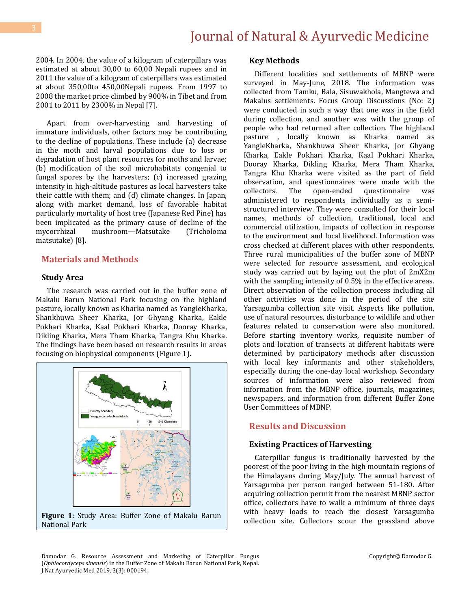2004. In 2004, the value of a kilogram of caterpillars was estimated at about 30,00 to 60,00 Nepali rupees and in 2011 the value of a kilogram of caterpillars was estimated at about 350,00to 450,00Nepali rupees. From 1997 to 2008 the market price climbed by 900% in Tibet and from 2001 to 2011 by 2300% in Nepal [7].

Apart from over-harvesting and harvesting of immature individuals, other factors may be contributing to the decline of populations. These include (a) decrease in the moth and larval populations due to loss or degradation of host plant resources for moths and larvae; (b) modification of the soil microhabitats congenial to fungal spores by the harvesters; (c) increased grazing intensity in high-altitude pastures as local harvesters take their cattle with them; and (d) climate changes. In Japan, along with market demand, loss of favorable habitat particularly mortality of host tree (Japanese Red Pine) has been implicated as the primary cause of decline of the mycorrhizal mushroom—Matsutake (Tricholoma matsutake) [8]**.** 

### **Materials and Methods**

#### **Study Area**

The research was carried out in the buffer zone of Makalu Barun National Park focusing on the highland pasture, locally known as Kharka named as YangleKharka, Shankhuwa Sheer Kharka, Jor Ghyang Kharka, Eakle Pokhari Kharka, Kaal Pokhari Kharka, Dooray Kharka, Dikling Kharka, Mera Tham Kharka, Tangra Khu Kharka. The findings have been based on research results in areas focusing on biophysical components (Figure 1).



# National Park

#### **Key Methods**

Different localities and settlements of MBNP were surveyed in May-June, 2018. The information was collected from Tamku, Bala, Sisuwakhola, Mangtewa and Makalus settlements. Focus Group Discussions (No: 2) were conducted in such a way that one was in the field during collection, and another was with the group of people who had returned after collection. The highland pasture , locally known as Kharka named as YangleKharka, Shankhuwa Sheer Kharka, Jor Ghyang Kharka, Eakle Pokhari Kharka, Kaal Pokhari Kharka, Dooray Kharka, Dikling Kharka, Mera Tham Kharka, Tangra Khu Kharka were visited as the part of field observation, and questionnaires were made with the collectors. The open-ended questionnaire was administered to respondents individually as a semistructured interview. They were consulted for their local names, methods of collection, traditional, local and commercial utilization, impacts of collection in response to the environment and local livelihood. Information was cross checked at different places with other respondents. Three rural municipalities of the buffer zone of MBNP were selected for resource assessment, and ecological study was carried out by laying out the plot of 2mX2m with the sampling intensity of 0.5% in the effective areas. Direct observation of the collection process including all other activities was done in the period of the site Yarsagumba collection site visit. Aspects like pollution, use of natural resources, disturbance to wildlife and other features related to conservation were also monitored. Before starting inventory works, requisite number of plots and location of transects at different habitats were determined by participatory methods after discussion with local key informants and other stakeholders, especially during the one-day local workshop. Secondary sources of information were also reviewed from information from the MBNP office, journals, magazines, newspapers, and information from different Buffer Zone User Committees of MBNP.

### **Results and Discussion**

#### **Existing Practices of Harvesting**

Caterpillar fungus is traditionally harvested by the poorest of the poor living in the high mountain regions of the Himalayans during May/July. The annual harvest of Yarsagumba per person ranged between 51-180. After acquiring collection permit from the nearest MBNP sector office, collectors have to walk a minimum of three days with heavy loads to reach the closest Yarsagumba collection site. Collectors scour the grassland above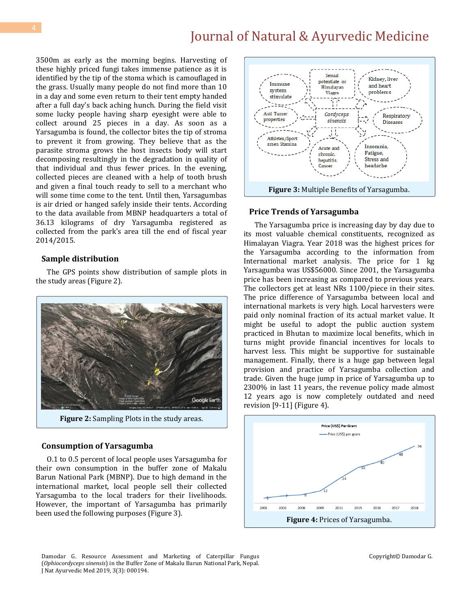3500m as early as the morning begins. Harvesting of these highly priced fungi takes immense patience as it is identified by the tip of the stoma which is camouflaged in the grass. Usually many people do not find more than 10 in a day and some even return to their tent empty handed after a full day's back aching hunch. During the field visit some lucky people having sharp eyesight were able to collect around 25 pieces in a day. As soon as a Yarsagumba is found, the collector bites the tip of stroma to prevent it from growing. They believe that as the parasite stroma grows the host insects body will start decomposing resultingly in the degradation in quality of that individual and thus fewer prices. In the evening, collected pieces are cleaned with a help of tooth brush and given a final touch ready to sell to a merchant who will some time come to the tent. Until then, Yarsagumbas is air dried or hanged safely inside their tents. According to the data available from MBNP headquarters a total of 36.13 kilograms of dry Yarsagumba registered as collected from the park's area till the end of fiscal year 2014/2015.

### **Sample distribution**

The GPS points show distribution of sample plots in the study areas (Figure 2).



**Figure 2:** Sampling Plots in the study areas.

#### **Consumption of Yarsagumba**

O.1 to 0.5 percent of local people uses Yarsagumba for their own consumption in the buffer zone of Makalu Barun National Park (MBNP). Due to high demand in the international market, local people sell their collected Yarsagumba to the local traders for their livelihoods. However, the important of Yarsagumba has primarily been used the following purposes (Figure 3).



### **Price Trends of Yarsagumba**

The Yarsagumba price is increasing day by day due to its most valuable chemical constituents, recognized as Himalayan Viagra. Year 2018 was the highest prices for the Yarsagumba according to the information from International market analysis. The price for 1 kg Yarsagumba was US\$56000. Since 2001, the Yarsagumba price has been increasing as compared to previous years. The collectors get at least NRs 1100/piece in their sites. The price difference of Yarsagumba between local and international markets is very high. Local harvesters were paid only nominal fraction of its actual market value. It might be useful to adopt the public auction system practiced in Bhutan to maximize local benefits, which in turns might provide financial incentives for locals to harvest less. This might be supportive for sustainable management. Finally, there is a huge gap between legal provision and practice of Yarsagumba collection and trade. Given the huge jump in price of Yarsagumba up to 2300% in last 11 years, the revenue policy made almost 12 years ago is now completely outdated and need revision [9-11] (Figure 4).

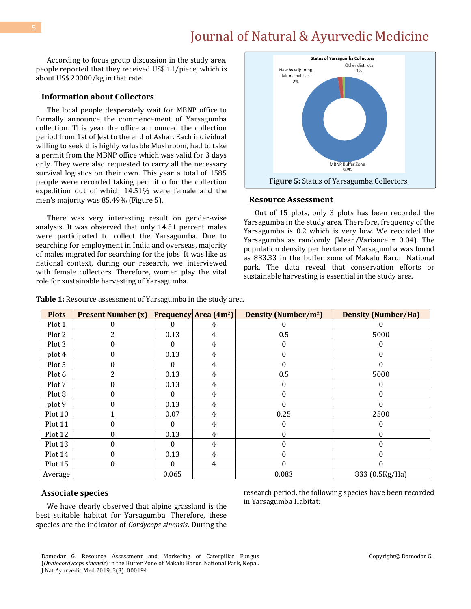According to focus group discussion in the study area, people reported that they received US\$ 11/piece, which is about US\$ 20000/kg in that rate.

#### **Information about Collectors**

The local people desperately wait for MBNP office to formally announce the commencement of Yarsagumba collection. This year the office announced the collection period from 1st of Jest to the end of Ashar. Each individual willing to seek this highly valuable Mushroom, had to take a permit from the MBNP office which was valid for 3 days only. They were also requested to carry all the necessary survival logistics on their own. This year a total of 1585 people were recorded taking permit o for the collection expedition out of which 14.51% were female and the men's majority was 85.49% (Figure 5).

There was very interesting result on gender-wise analysis. It was observed that only 14.51 percent males were participated to collect the Yarsagumba. Due to searching for employment in India and overseas, majority of males migrated for searching for the jobs. It was like as national context, during our research, we interviewed with female collectors. Therefore, women play the vital role for sustainable harvesting of Yarsagumba.



#### **Resource Assessment**

Out of 15 plots, only 3 plots has been recorded the Yarsagumba in the study area. Therefore, frequency of the Yarsagumba is 0.2 which is very low. We recorded the Yarsagumba as randomly (Mean/Variance = 0.04). The population density per hectare of Yarsagumba was found as 833.33 in the buffer zone of Makalu Barun National park. The data reveal that conservation efforts or sustainable harvesting is essential in the study area.

| <b>Plots</b> | <b>Present Number (x)</b> |       | Frequency Area (4m <sup>2</sup> ) | Density (Number/m <sup>2</sup> ) | <b>Density (Number/Ha)</b> |
|--------------|---------------------------|-------|-----------------------------------|----------------------------------|----------------------------|
| Plot 1       | 0                         | 0     | 4                                 |                                  | $\Omega$                   |
| Plot 2       | $\overline{2}$            | 0.13  | 4                                 | 0.5                              | 5000                       |
| Plot 3       | 0                         | 0     | 4                                 | 0                                | 0                          |
| plot 4       | 0                         | 0.13  | 4                                 | 0                                | $\Omega$                   |
| Plot 5       | 0                         | 0     | 4                                 | 0                                | 0                          |
| Plot 6       | 2                         | 0.13  | 4                                 | 0.5                              | 5000                       |
| Plot 7       | 0                         | 0.13  | 4                                 | $\theta$                         | 0                          |
| Plot 8       | 0                         | 0     | 4                                 | 0                                | 0                          |
| plot 9       | 0                         | 0.13  | 4                                 | 0                                | 0                          |
| Plot 10      |                           | 0.07  | 4                                 | 0.25                             | 2500                       |
| Plot 11      | 0                         | 0     | 4                                 | 0                                | 0                          |
| Plot 12      | 0                         | 0.13  | 4                                 | 0                                | $\boldsymbol{0}$           |
| Plot 13      | 0                         | 0     | 4                                 |                                  | $\theta$                   |
| Plot 14      | 0                         | 0.13  | 4                                 | 0                                | 0                          |
| Plot 15      | 0                         | 0     | 4                                 | 0                                | $\Omega$                   |
| Average      |                           | 0.065 |                                   | 0.083                            | 833 (0.5Kg/Ha)             |

**Table 1:** Resource assessment of Yarsagumba in the study area.

#### **Associate species**

We have clearly observed that alpine grassland is the best suitable habitat for Yarsagumba. Therefore, these species are the indicator of *Cordyceps sinensis*. During the research period, the following species have been recorded in Yarsagumba Habitat: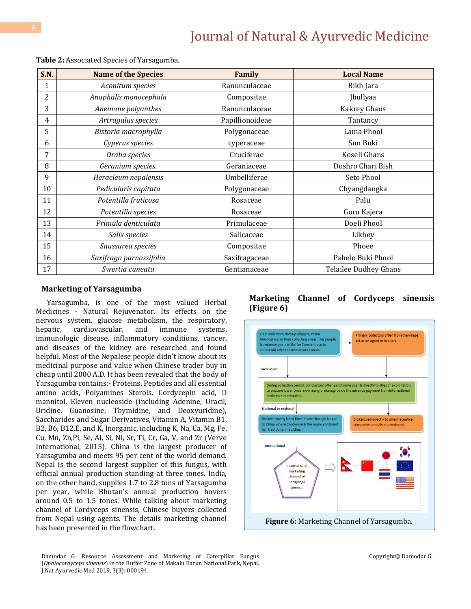| <b>S.N.</b> | <b>Name of the Species</b> | Family          | <b>Local Name</b>            |
|-------------|----------------------------|-----------------|------------------------------|
| 1           | Aconitum species           | Ranunculaceae   | Bikh Jara                    |
| 2           | Anaphalis monocephala      | Compositae      | <b>Jhullyaa</b>              |
| 3           | Anemone polyanthes         | Ranunculaceae   | Kakrey Ghans                 |
| 4           | Artragalus species         | Papillionoideae | Tantancy                     |
| 5           | Bistoria macrophylla       | Polygonaceae    | Lama Phool                   |
| 6           | Cyperus species            | cyperaceae      | Sun Buki                     |
| 7           | Draba species              | Cruciferae      | Koseli Ghans                 |
| 8           | Geranium species.          | Geraniaceae     | Doshro Chari Bish            |
| 9           | Heracleum nepalensis       | Umbelliferae    | Seto Phool                   |
| 10          | Pedicularis capitata       | Polygonaceae    | Chyangdangka                 |
| 11          | Potentilla fruticosa       | Rosaceae        | Palu                         |
| 12          | Potentilla species         | Rosaceae        | Goru Kajera                  |
| 13          | Primula denticulata        | Primulaceae     | Doeli Phool                  |
| 14          | Salix species              | Salicaceae      | Likhey                       |
| 15          | Saussurea species          | Compositae      | Phoee                        |
| 16          | Saxifraga parnassifolia    | Saxifragaceae   | Pahelo Buki Phool            |
| 17          | Swertia cuneata            | Gentianaceae    | <b>Telailee Dudhey Ghans</b> |

**Table 2:** Associated Species of Yarsagumba.

#### **Marketing of Yarsagumba**

Yarsagumba, is one of the most valued Herbal Medicines - Natural Rejuvenator. Its effects on the nervous system, glucose metabolism, the respiratory, hepatic, cardiovascular, and immune systems, immunologic disease, inflammatory conditions, cancer, and diseases of the kidney are researched and found helpful. Most of the Nepalese people didn't know about its medicinal purpose and value when Chinese trader buy in cheap until 2000 A.D. It has been revealed that the body of Yarsagumba contains:- Proteins, Peptides and all essential amino acids, Polyamines Sterols, Cordycepin acid, D mannitol, Eleven nucleoside (including Adenine, Uracil, Uridine, Guanosine, Thymidine, and Deoxyuridine), Saccharides and Sugar Derivatives, Vitamin A, Vitamin B1, B2, B6, B12,E, and K, Inorganic, including K, Na, Ca, Mg, Fe, Cu, Mn, Zn,Pi, Se, Al, Si, Ni, Sr, Ti, Cr, Ga, V, and Zr (Verve International, 2015). China is the largest producer of Yarsagumba and meets 95 per cent of the world demand. Nepal is the second largest supplier of this fungus, with official annual production standing at three tones. India, on the other hand, supplies 1.7 to 2.8 tons of Yarsagumba per year, while Bhutan's annual production hovers around 0.5 to 1.5 tones. While talking about marketing channel of Cordyceps sinensis, Chinese buyers collected from Nepal using agents. The details marketing channel has been presented in the flowchart.

# **Marketing Channel of Cordyceps sinensis (Figure 6)**

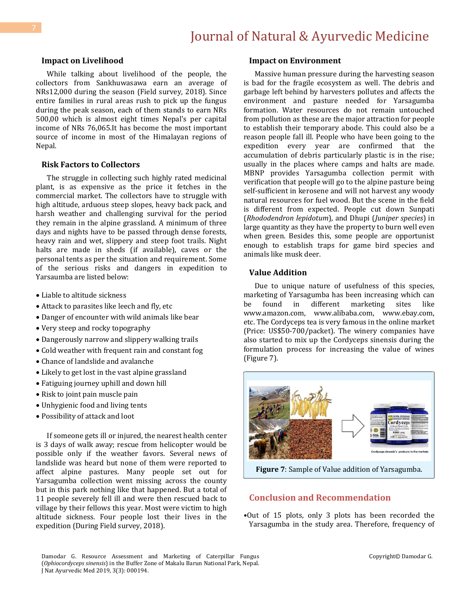#### **Impact on Livelihood**

While talking about livelihood of the people, the collectors from Sankhuwasawa earn an average of NRs12,000 during the season (Field survey, 2018). Since entire families in rural areas rush to pick up the fungus during the peak season, each of them stands to earn NRs 500,00 which is almost eight times Nepal's per capital income of NRs 76,065.It has become the most important source of income in most of the Himalayan regions of Nepal.

#### **Risk Factors to Collectors**

The struggle in collecting such highly rated medicinal plant, is as expensive as the price it fetches in the commercial market. The collectors have to struggle with high altitude, arduous steep slopes, heavy back pack, and harsh weather and challenging survival for the period they remain in the alpine grassland. A minimum of three days and nights have to be passed through dense forests, heavy rain and wet, slippery and steep foot trails. Night halts are made in sheds (if available), caves or the personal tents as per the situation and requirement. Some of the serious risks and dangers in expedition to Yarsaumba are listed below:

- Liable to altitude sickness
- Attack to parasites like leech and fly, etc
- Danger of encounter with wild animals like bear
- Very steep and rocky topography
- Dangerously narrow and slippery walking trails
- Cold weather with frequent rain and constant fog
- Chance of landslide and avalanche
- Likely to get lost in the vast alpine grassland
- Fatiguing journey uphill and down hill
- Risk to joint pain muscle pain
- Unhygienic food and living tents
- Possibility of attack and loot

If someone gets ill or injured, the nearest health center is 3 days of walk away; rescue from helicopter would be possible only if the weather favors. Several news of landslide was heard but none of them were reported to affect alpine pastures. Many people set out for Yarsagumba collection went missing across the county but in this park nothing like that happened. But a total of 11 people severely fell ill and were then rescued back to village by their fellows this year. Most were victim to high altitude sickness. Four people lost their lives in the expedition (During Field survey, 2018).

#### **Impact on Environment**

Massive human pressure during the harvesting season is bad for the fragile ecosystem as well. The debris and garbage left behind by harvesters pollutes and affects the environment and pasture needed for Yarsagumba formation. Water resources do not remain untouched from pollution as these are the major attraction for people to establish their temporary abode. This could also be a reason people fall ill. People who have been going to the expedition every year are confirmed that the accumulation of debris particularly plastic is in the rise; usually in the places where camps and halts are made. MBNP provides Yarsagumba collection permit with verification that people will go to the alpine pasture being self-sufficient in kerosene and will not harvest any woody natural resources for fuel wood. But the scene in the field is different from expected. People cut down Sunpati (*Rhododendron lepidotum*), and Dhupi (*Juniper species*) in large quantity as they have the property to burn well even when green. Besides this, some people are opportunist enough to establish traps for game bird species and animals like musk deer.

#### **Value Addition**

Due to unique nature of usefulness of this species, marketing of Yarsagumba has been increasing which can be found in different marketing sites like www.amazon.com, www.alibaba.com, www.ebay.com, etc. The Cordyceps tea is very famous in the online market (Price: US\$50-700/packet). The winery companies have also started to mix up the Cordyceps sinensis during the formulation process for increasing the value of wines (Figure 7).



# **Conclusion and Recommendation**

•Out of 15 plots, only 3 plots has been recorded the Yarsagumba in the study area. Therefore, frequency of